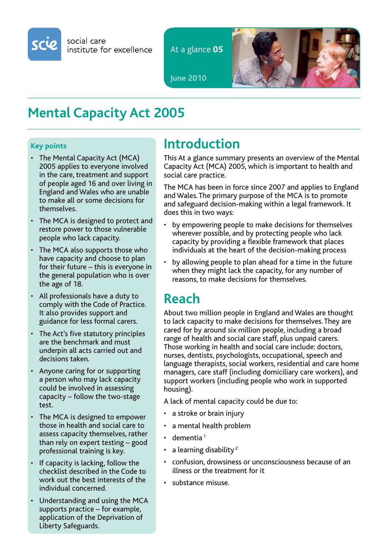

social care institute for excellence

At a glance **05**



**June 2010**

# **Mental Capacity Act 2005**

#### **Key points**

- The Mental Capacity Act (MCA) 2005 applies to everyone involved in the care, treatment and support of people aged 16 and over living in England and Wales who are unable to make all or some decisions for themselves.
- The MCA is designed to protect and restore power to those vulnerable people who lack capacity.
- The MCA also supports those who have capacity and choose to plan for their future – this is everyone in the general population who is over the age of 18.
- • All professionals have a duty to comply with the Code of Practice. It also provides support and guidance for less formal carers.
- The Act's five statutory principles are the benchmark and must underpin all acts carried out and decisions taken.
- • Anyone caring for or supporting a person who may lack capacity could be involved in assessing capacity – follow the two-stage test.
- The MCA is designed to empower those in health and social care to assess capacity themselves, rather than rely on expert testing – good professional training is key.
- If capacity is lacking, follow the checklist described in the Code to work out the best interests of the individual concerned.
- Understanding and using the MCA supports practice – for example, application of the Deprivation of Liberty Safeguards.

## **Introduction**

This At a glance summary presents an overview of the Mental Capacity Act (MCA) 2005, which is important to health and social care practice.

The MCA has been in force since 2007 and applies to England and Wales.The primary purpose of the MCA is to promote and safeguard decision-making within a legal framework. It does this in two ways:

- by empowering people to make decisions for themselves wherever possible, and by protecting people who lack capacity by providing a flexible framework that places individuals at the heart of the decision-making process
- by allowing people to plan ahead for a time in the future when they might lack the capacity, for any number of reasons, to make decisions for themselves.

## **Reach**

About two million people in England and Wales are thought to lack capacity to make decisions for themselves.They are cared for by around six million people, including a broad range of health and social care staff, plus unpaid carers. Those working in health and social care include: doctors, nurses, dentists, psychologists, occupational, speech and language therapists, social workers, residential and care home managers, care staff (including domiciliary care workers), and support workers (including people who work in supported housing).

A lack of mental capacity could be due to:

- a stroke or brain injury
- a mental health problem
- $\cdot$  dementia<sup>1</sup>
- a learning disability<sup>2</sup>
- • confusion, drowsiness or unconsciousness because of an illness or the treatment for it
- substance misuse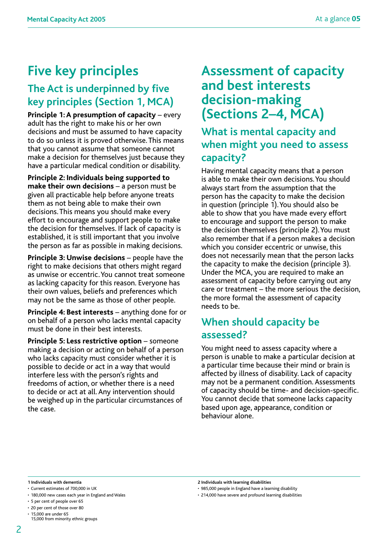# **Five key principles**

### **The Act is underpinned by five key principles (Section 1, MCA)**

**Principle 1: A presumption of capacity** – every adult has the right to make his or her own decisions and must be assumed to have capacity to do so unless it is proved otherwise.This means that you cannot assume that someone cannot make a decision for themselves just because they have a particular medical condition or disability.

**Principle 2: Individuals being supported to make their own decisions** – a person must be given all practicable help before anyone treats them as not being able to make their own decisions.This means you should make every effort to encourage and support people to make the decision for themselves. If lack of capacity is established, it is still important that you involve the person as far as possible in making decisions.

**Principle 3: Unwise decisions** – people have the right to make decisions that others might regard as unwise or eccentric.You cannot treat someone as lacking capacity for this reason. Everyone has their own values, beliefs and preferences which may not be the same as those of other people.

**Principle 4: Best interests** – anything done for or on behalf of a person who lacks mental capacity must be done in their best interests.

**Principle 5: Less restrictive option** – someone making a decision or acting on behalf of a person who lacks capacity must consider whether it is possible to decide or act in a way that would interfere less with the person's rights and freedoms of action, or whether there is a need to decide or act at all. Any intervention should be weighed up in the particular circumstances of the case.

### **Assessment of capacity and best interests decision-making (Sections 2–4, MCA)**

**What is mental capacity and when might you need to assess capacity?**

Having mental capacity means that a person is able to make their own decisions.You should always start from the assumption that the person has the capacity to make the decision in question (principle 1).You should also be able to show that you have made every effort to encourage and support the person to make the decision themselves (principle 2).You must also remember that if a person makes a decision which you consider eccentric or unwise, this does not necessarily mean that the person lacks the capacity to make the decision (principle 3). Under the MCA, you are required to make an assessment of capacity before carrying out any care or treatment – the more serious the decision, the more formal the assessment of capacity needs to be.

#### **When should capacity be assessed?**

You might need to assess capacity where a person is unable to make a particular decision at a particular time because their mind or brain is affected by illness of disability. Lack of capacity may not be a permanent condition. Assessments of capacity should be time- and decision-specific. You cannot decide that someone lacks capacity based upon age, appearance, condition or behaviour alone.

**1 Individuals with dementia 2 Individuals with learning disabilities**

• 180,000 new cases each year in England and Wales

<sup>•</sup> Current estimates of 700,000 in UK

<sup>• 5</sup> per cent of people over 65

<sup>• 20</sup> per cent of those over 80

<sup>•</sup>  15,000 are under 65 15,000 from minority ethnic groups

<sup>•</sup>  214,000 have severe and profound learning disabilities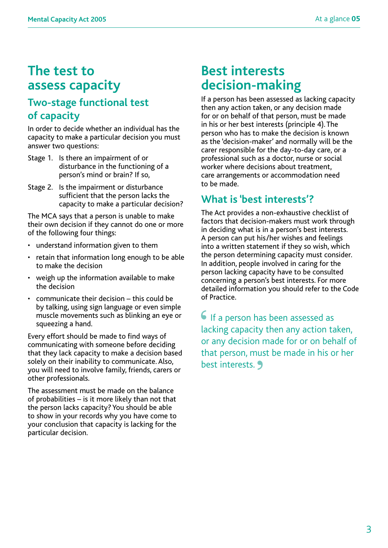## **The test to assess capacity**

#### **Two-stage functional test of capacity**

In order to decide whether an individual has the capacity to make a particular decision you must answer two questions:

- Stage 1. Is there an impairment of or disturbance in the functioning of a person's mind or brain? If so,
- Stage 2. Is the impairment or disturbance sufficient that the person lacks the capacity to make a particular decision?

The MCA says that a person is unable to make their own decision if they cannot do one or more of the following four things:

- understand information given to them
- retain that information long enough to be able to make the decision
- weigh up the information available to make the decision
- communicate their decision  $-$  this could be by talking, using sign language or even simple muscle movements such as blinking an eye or squeezing a hand.

Every effort should be made to find ways of communicating with someone before deciding that they lack capacity to make a decision based solely on their inability to communicate. Also, you will need to involve family, friends, carers or other professionals.

The assessment must be made on the balance of probabilities – is it more likely than not that the person lacks capacity?You should be able to show in your records why you have come to your conclusion that capacity is lacking for the particular decision.

#### **Best interests decision-making**

If a person has been assessed as lacking capacity then any action taken, or any decision made for or on behalf of that person, must be made in his or her best interests (principle 4).The person who has to make the decision is known as the 'decision-maker' and normally will be the carer responsible for the day-to-day care, or a professional such as a doctor, nurse or social worker where decisions about treatment, care arrangements or accommodation need to be made.

#### **What is 'best interests'?**

The Act provides a non-exhaustive checklist of factors that decision-makers must work through in deciding what is in a person's best interests. A person can put his/her wishes and feelings into a written statement if they so wish, which the person determining capacity must consider. In addition, people involved in caring for the person lacking capacity have to be consulted concerning a person's best interests. For more detailed information you should refer to the Code of Practice.

If a person has been assessed as **6** If a person has been assessed as lacking capacity then any action taken, or any decision made for or on behalf of that person, must be made in his or her best interests. **J**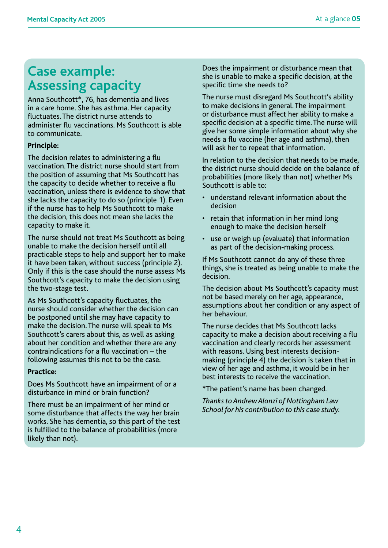## **Case example: Assessing capacity**

Anna Southcott\*, 76, has dementia and lives in a care home. She has asthma. Her capacity fluctuates.The district nurse attends to administer flu vaccinations. Ms Southcott is able to communicate.

#### **Principle:**

The decision relates to administering a flu vaccination.The district nurse should start from the position of assuming that Ms Southcott has the capacity to decide whether to receive a flu vaccination, unless there is evidence to show that she lacks the capacity to do so (principle 1). Even if the nurse has to help Ms Southcott to make the decision, this does not mean she lacks the capacity to make it.

The nurse should not treat Ms Southcott as being unable to make the decision herself until all practicable steps to help and support her to make it have been taken, without success (principle 2). Only if this is the case should the nurse assess Ms Southcott's capacity to make the decision using the two-stage test.

As Ms Southcott's capacity fluctuates, the nurse should consider whether the decision can be postponed until she may have capacity to make the decision.The nurse will speak to Ms Southcott's carers about this, as well as asking about her condition and whether there are any contraindications for a flu vaccination – the following assumes this not to be the case.

#### **Practice:**

Does Ms Southcott have an impairment of or a disturbance in mind or brain function?

There must be an impairment of her mind or some disturbance that affects the way her brain works. She has dementia, so this part of the test is fulfilled to the balance of probabilities (more likely than not).

Does the impairment or disturbance mean that she is unable to make a specific decision, at the specific time she needs to?

The nurse must disregard Ms Southcott's ability to make decisions in general.The impairment or disturbance must affect her ability to make a specific decision at a specific time.The nurse will give her some simple information about why she needs a flu vaccine (her age and asthma), then will ask her to repeat that information.

In relation to the decision that needs to be made, the district nurse should decide on the balance of probabilities (more likely than not) whether Ms Southcott is able to:

- understand relevant information about the decision
- retain that information in her mind long enough to make the decision herself
- use or weigh up (evaluate) that information as part of the decision-making process.

If Ms Southcott cannot do any of these three things, she is treated as being unable to make the decision.

The decision about Ms Southcott's capacity must not be based merely on her age, appearance, assumptions about her condition or any aspect of her behaviour.

The nurse decides that Ms Southcott lacks capacity to make a decision about receiving a flu vaccination and clearly records her assessment with reasons. Using best interests decisionmaking (principle 4) the decision is taken that in view of her age and asthma, it would be in her best interests to receive the vaccination.

\*The patient's name has been changed.

*Thanks to Andrew Alonzi of Nottingham Law School for his contribution to this case study.*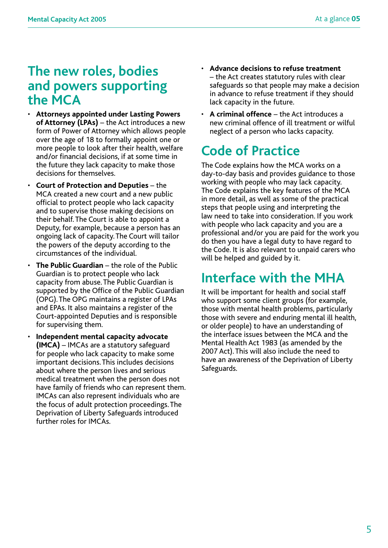### **The new roles, bodies and powers supporting the MCA**

- • **Attorneys appointed under Lasting Powers of Attorney (LPAs)** – the Act introduces a new form of Power of Attorney which allows people over the age of 18 to formally appoint one or more people to look after their health, welfare and/or financial decisions, if at some time in the future they lack capacity to make those decisions for themselves.
- **Court of Protection and Deputies** the MCA created a new court and a new public official to protect people who lack capacity and to supervise those making decisions on their behalf.The Court is able to appoint a Deputy, for example, because a person has an ongoing lack of capacity.The Court will tailor the powers of the deputy according to the circumstances of the individual.
- **The Public Guardian** the role of the Public Guardian is to protect people who lack capacity from abuse.The Public Guardian is supported by the Office of the Public Guardian (OPG).The OPG maintains a register of LPAs and EPAs. It also maintains a register of the Court-appointed Deputies and is responsible for supervising them.
- **Independent mental capacity advocate (IMCA)** – IMCAs are a statutory safeguard for people who lack capacity to make some important decisions.This includes decisions about where the person lives and serious medical treatment when the person does not have family of friends who can represent them. IMCAs can also represent individuals who are the focus of adult protection proceedings.The Deprivation of Liberty Safeguards introduced further roles for IMCAs.
- • **Advance decisions to refuse treatment** – the Act creates statutory rules with clear safeguards so that people may make a decision in advance to refuse treatment if they should lack capacity in the future.
- • **A criminal offence** the Act introduces a new criminal offence of ill treatment or wilful neglect of a person who lacks capacity.

# **Code of Practice**

The Code explains how the MCA works on a day-to-day basis and provides guidance to those working with people who may lack capacity. The Code explains the key features of the MCA in more detail, as well as some of the practical steps that people using and interpreting the law need to take into consideration. If you work with people who lack capacity and you are a professional and/or you are paid for the work you do then you have a legal duty to have regard to the Code. It is also relevant to unpaid carers who will be helped and guided by it.

## **Interface with the MHA**

It will be important for health and social staff who support some client groups (for example, those with mental health problems, particularly those with severe and enduring mental ill health, or older people) to have an understanding of the interface issues between the MCA and the Mental Health Act 1983 (as amended by the 2007 Act).This will also include the need to have an awareness of the Deprivation of Liberty Safeguards.